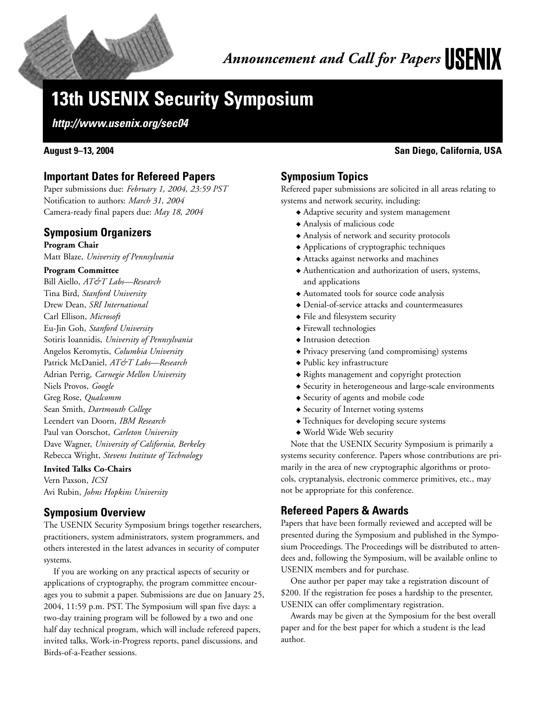

# **13th USENIX Security Symposium**

**http://www.usenix.org/sec04**

## **Important Dates for Refereed Papers**

Paper submissions due: *February 1, 2004, 23:59 PST* Notification to authors: *March 31, 2004* Camera-ready final papers due: *May 18, 2004*

### **Symposium Organizers**

**Program Chair** Matt Blaze, *University of Pennsylvania*

#### **Program Committee**

Bill Aiello, *AT&T Labs—Research* Tina Bird, *Stanford University* Drew Dean, *SRI International* Carl Ellison, *Microsoft* Eu-Jin Goh, *Stanford University* Sotiris Ioannidis, *University of Pennsylvania* Angelos Keromytis, *Columbia University* Patrick McDaniel, *AT&T Labs—Research* Adrian Perrig, *Carnegie Mellon University* Niels Provos, *Google* Greg Rose, *Qualcomm* Sean Smith, *Dartmouth College* Leendert van Doorn, *IBM Research* Paul van Oorschot, *Carleton University* Dave Wagner, *University of California, Berkeley* Rebecca Wright, *Stevens Institute of Technology*

#### **Invited Talks Co-Chairs**

Vern Paxson, *ICSI* Avi Rubin, *Johns Hopkins University*

## **Symposium Overview**

The USENIX Security Symposium brings together researchers, practitioners, system administrators, system programmers, and others interested in the latest advances in security of computer systems.

If you are working on any practical aspects of security or applications of cryptography, the program committee encourages you to submit a paper. Submissions are due on January 25, 2004, 11:59 p.m. PST. The Symposium will span five days: a two-day training program will be followed by a two and one half day technical program, which will include refereed papers, invited talks, Work-in-Progress reports, panel discussions, and Birds-of-a-Feather sessions.

## **August 9–13, 2004 San Diego, California, USA**

## **Symposium Topics**

Refereed paper submissions are solicited in all areas relating to systems and network security, including:

- **◆** Adaptive security and system management
- **◆** Analysis of malicious code
- **◆** Analysis of network and security protocols
- **◆** Applications of cryptographic techniques
- **◆** Attacks against networks and machines
- **◆** Authentication and authorization of users, systems, and applications
- **◆** Automated tools for source code analysis
- **◆** Denial-of-service attacks and countermeasures
- **◆** File and filesystem security
- **◆** Firewall technologies
- **◆** Intrusion detection
- **◆** Privacy preserving (and compromising) systems
- **◆** Public key infrastructure
- **◆** Rights management and copyright protection
- **◆** Security in heterogeneous and large-scale environments
- **◆** Security of agents and mobile code
- **◆** Security of Internet voting systems
- **◆** Techniques for developing secure systems
- **◆** World Wide Web security

Note that the USENIX Security Symposium is primarily a systems security conference. Papers whose contributions are primarily in the area of new cryptographic algorithms or protocols, cryptanalysis, electronic commerce primitives, etc., may not be appropriate for this conference.

## **Refereed Papers & Awards**

Papers that have been formally reviewed and accepted will be presented during the Symposium and published in the Symposium Proceedings. The Proceedings will be distributed to attendees and, following the Symposium, will be available online to USENIX members and for purchase.

One author per paper may take a registration discount of \$200. If the registration fee poses a hardship to the presenter, USENIX can offer complimentary registration.

Awards may be given at the Symposium for the best overall paper and for the best paper for which a student is the lead author.